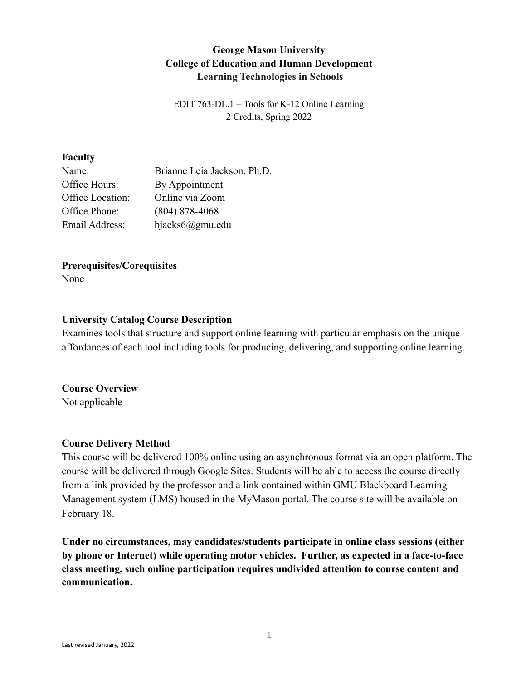## **George Mason University College of Education and Human Development Learning Technologies in Schools**

EDIT 763-DL.1 – Tools for K-12 Online Learning 2 Credits, Spring 2022

#### **Faculty**

| Name:            | Brianne Leia Jackson, Ph.D. |
|------------------|-----------------------------|
| Office Hours:    | By Appointment              |
| Office Location: | Online via Zoom             |
| Office Phone:    | $(804)$ 878-4068            |
| Email Address:   | $bias6(a)$ gmu.edu          |

## **Prerequisites/Corequisites**

None

## **University Catalog Course Description**

Examines tools that structure and support online learning with particular emphasis on the unique affordances of each tool including tools for producing, delivering, and supporting online learning.

## **Course Overview**

Not applicable

## **Course Delivery Method**

This course will be delivered 100% online using an asynchronous format via an open platform. The course will be delivered through Google Sites. Students will be able to access the course directly from a link provided by the professor and a link contained within GMU Blackboard Learning Management system (LMS) housed in the MyMason portal. The course site will be available on February 18.

**Under no circumstances, may candidates/students participate in online class sessions (either by phone or Internet) while operating motor vehicles. Further, as expected in a face-to-face class meeting, such online participation requires undivided attention to course content and communication.**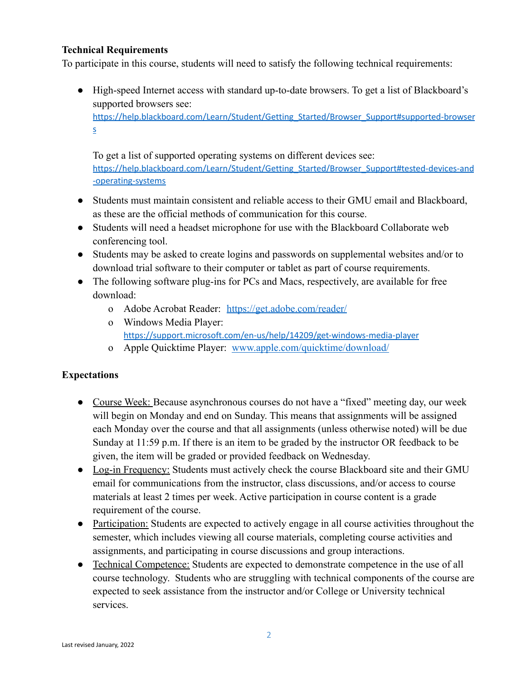## **Technical Requirements**

To participate in this course, students will need to satisfy the following technical requirements:

• High-speed Internet access with standard up-to-date browsers. To get a list of Blackboard's supported browsers see: [https://help.blackboard.com/Learn/Student/Getting\\_Started/Browser\\_Support#supported-browser](https://help.blackboard.com/Learn/Student/Getting_Started/Browser_Support#supported-browsers) [s](https://help.blackboard.com/Learn/Student/Getting_Started/Browser_Support#supported-browsers)

To get a list of supported operating systems on different devices see: [https://help.blackboard.com/Learn/Student/Getting\\_Started/Browser\\_Support#tested-devices-and](https://help.blackboard.com/Learn/Student/Getting_Started/Browser_Support#tested-devices-and-operating-systems) [-operating-systems](https://help.blackboard.com/Learn/Student/Getting_Started/Browser_Support#tested-devices-and-operating-systems)

- Students must maintain consistent and reliable access to their GMU email and Blackboard, as these are the official methods of communication for this course.
- Students will need a headset microphone for use with the Blackboard Collaborate web conferencing tool.
- Students may be asked to create logins and passwords on supplemental websites and/or to download trial software to their computer or tablet as part of course requirements.
- The following software plug-ins for PCs and Macs, respectively, are available for free download:
	- o Adobe Acrobat Reader: <https://get.adobe.com/reader/>
	- o Windows Media Player: <https://support.microsoft.com/en-us/help/14209/get-windows-media-player>
	- o Apple Quicktime Player: [www.apple.com/quicktime/download/](http://www.apple.com/quicktime/download/)

## **Expectations**

- Course Week: Because asynchronous courses do not have a "fixed" meeting day, our week will begin on Monday and end on Sunday. This means that assignments will be assigned each Monday over the course and that all assignments (unless otherwise noted) will be due Sunday at 11:59 p.m. If there is an item to be graded by the instructor OR feedback to be given, the item will be graded or provided feedback on Wednesday.
- Log-in Frequency: Students must actively check the course Blackboard site and their GMU email for communications from the instructor, class discussions, and/or access to course materials at least 2 times per week. Active participation in course content is a grade requirement of the course.
- Participation: Students are expected to actively engage in all course activities throughout the semester, which includes viewing all course materials, completing course activities and assignments, and participating in course discussions and group interactions.
- Technical Competence: Students are expected to demonstrate competence in the use of all course technology. Students who are struggling with technical components of the course are expected to seek assistance from the instructor and/or College or University technical services.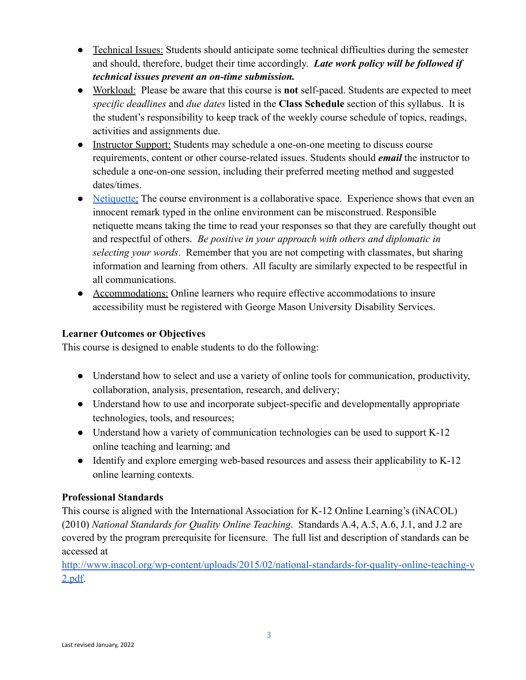- Technical Issues: Students should anticipate some technical difficulties during the semester and should, therefore, budget their time accordingly. *Late work policy will be followed if technical issues prevent an on-time submission.*
- Workload: Please be aware that this course is **not** self-paced. Students are expected to meet *specific deadlines* and *due dates* listed in the **Class Schedule** section of this syllabus. It is the student's responsibility to keep track of the weekly course schedule of topics, readings, activities and assignments due.
- Instructor Support: Students may schedule a one-on-one meeting to discuss course requirements, content or other course-related issues. Students should *email* the instructor to schedule a one-on-one session, including their preferred meeting method and suggested dates/times.
- [Netiquette:](https://techterms.com/definition/netiquette) The course environment is a collaborative space. Experience shows that even an innocent remark typed in the online environment can be misconstrued. Responsible netiquette means taking the time to read your responses so that they are carefully thought out and respectful of others. *Be positive in your approach with others and diplomatic in selecting your words*. Remember that you are not competing with classmates, but sharing information and learning from others. All faculty are similarly expected to be respectful in all communications.
- Accommodations: Online learners who require effective accommodations to insure accessibility must be registered with George Mason University Disability Services.

## **Learner Outcomes or Objectives**

This course is designed to enable students to do the following:

- Understand how to select and use a variety of online tools for communication, productivity, collaboration, analysis, presentation, research, and delivery;
- Understand how to use and incorporate subject-specific and developmentally appropriate technologies, tools, and resources;
- Understand how a variety of communication technologies can be used to support K-12 online teaching and learning; and
- Identify and explore emerging web-based resources and assess their applicability to K-12 online learning contexts.

## **Professional Standards**

This course is aligned with the International Association for K-12 Online Learning's (iNACOL) (2010) *National Standards for Quality Online Teaching*. Standards A.4, A.5, A.6, J.1, and J.2 are covered by the program prerequisite for licensure. The full list and description of standards can be accessed at

[http://www.inacol.org/wp-content/uploads/2015/02/national-standards-for-quality-online-teaching-v](http://www.inacol.org/wp-content/uploads/2015/02/national-standards-for-quality-online-teaching-v2.pdf) [2.pdf.](http://www.inacol.org/wp-content/uploads/2015/02/national-standards-for-quality-online-teaching-v2.pdf)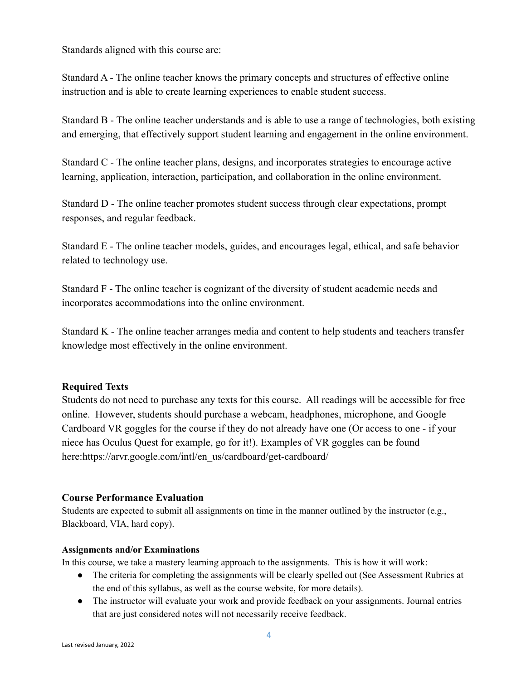Standards aligned with this course are:

Standard A - The online teacher knows the primary concepts and structures of effective online instruction and is able to create learning experiences to enable student success.

Standard B - The online teacher understands and is able to use a range of technologies, both existing and emerging, that effectively support student learning and engagement in the online environment.

Standard C - The online teacher plans, designs, and incorporates strategies to encourage active learning, application, interaction, participation, and collaboration in the online environment.

Standard D - The online teacher promotes student success through clear expectations, prompt responses, and regular feedback.

Standard E - The online teacher models, guides, and encourages legal, ethical, and safe behavior related to technology use.

Standard F - The online teacher is cognizant of the diversity of student academic needs and incorporates accommodations into the online environment.

Standard K - The online teacher arranges media and content to help students and teachers transfer knowledge most effectively in the online environment.

## **Required Texts**

Students do not need to purchase any texts for this course. All readings will be accessible for free online. However, students should purchase a webcam, headphones, microphone, and Google Cardboard VR goggles for the course if they do not already have one (Or access to one - if your niece has Oculus Quest for example, go for it!). Examples of VR goggles can be found here:https://arvr.google.com/intl/en\_us/cardboard/get-cardboard/

## **Course Performance Evaluation**

Students are expected to submit all assignments on time in the manner outlined by the instructor (e.g., Blackboard, VIA, hard copy).

## **Assignments and/or Examinations**

In this course, we take a mastery learning approach to the assignments. This is how it will work:

- The criteria for completing the assignments will be clearly spelled out (See Assessment Rubrics at the end of this syllabus, as well as the course website, for more details).
- The instructor will evaluate your work and provide feedback on your assignments. Journal entries that are just considered notes will not necessarily receive feedback.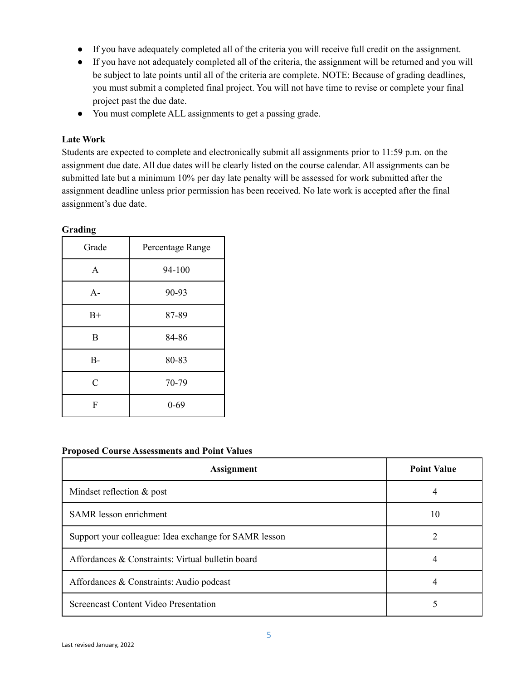- If you have adequately completed all of the criteria you will receive full credit on the assignment.
- If you have not adequately completed all of the criteria, the assignment will be returned and you will be subject to late points until all of the criteria are complete. NOTE: Because of grading deadlines, you must submit a completed final project. You will not have time to revise or complete your final project past the due date.
- You must complete ALL assignments to get a passing grade.

## **Late Work**

Students are expected to complete and electronically submit all assignments prior to 11:59 p.m. on the assignment due date. All due dates will be clearly listed on the course calendar. All assignments can be submitted late but a minimum 10% per day late penalty will be assessed for work submitted after the assignment deadline unless prior permission has been received. No late work is accepted after the final assignment's due date.

#### **Grading**

| Grade | Percentage Range |  |
|-------|------------------|--|
| A     | 94-100           |  |
| $A -$ | 90-93            |  |
| $B+$  | 87-89            |  |
| B     | 84-86            |  |
| $B-$  | 80-83            |  |
| C     | 70-79            |  |
| F     | $0 - 69$         |  |

#### **Proposed Course Assessments and Point Values**

| <b>Assignment</b>                                     | <b>Point Value</b> |
|-------------------------------------------------------|--------------------|
| Mindset reflection $&$ post                           | 4                  |
| <b>SAMR</b> lesson enrichment                         | 10                 |
| Support your colleague: Idea exchange for SAMR lesson |                    |
| Affordances & Constraints: Virtual bulletin board     | 4                  |
| Affordances & Constraints: Audio podcast              |                    |
| Screencast Content Video Presentation                 |                    |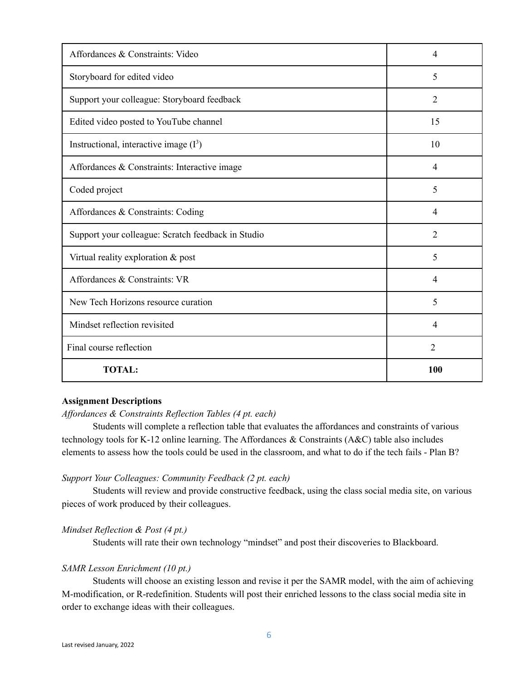| Affordances & Constraints: Video                   | 4              |
|----------------------------------------------------|----------------|
| Storyboard for edited video                        | 5              |
| Support your colleague: Storyboard feedback        | $\overline{2}$ |
| Edited video posted to YouTube channel             | 15             |
| Instructional, interactive image $(I^3)$           | 10             |
| Affordances & Constraints: Interactive image       | 4              |
| Coded project                                      | 5              |
| Affordances & Constraints: Coding                  | 4              |
| Support your colleague: Scratch feedback in Studio | $\overline{2}$ |
| Virtual reality exploration & post                 | 5              |
| Affordances & Constraints: VR                      | $\overline{4}$ |
| New Tech Horizons resource curation                | 5              |
| Mindset reflection revisited                       | $\overline{4}$ |
| Final course reflection                            | $\overline{2}$ |
| <b>TOTAL:</b>                                      | 100            |

#### **Assignment Descriptions**

*Af ordances & Constraints Reflection Tables (4 pt. each)*

Students will complete a reflection table that evaluates the affordances and constraints of various technology tools for K-12 online learning. The Affordances & Constraints (A&C) table also includes elements to assess how the tools could be used in the classroom, and what to do if the tech fails - Plan B?

#### *Support Your Colleagues: Community Feedback (2 pt. each)*

Students will review and provide constructive feedback, using the class social media site, on various pieces of work produced by their colleagues.

## *Mindset Reflection & Post (4 pt.)*

Students will rate their own technology "mindset" and post their discoveries to Blackboard.

#### *SAMR Lesson Enrichment (10 pt.)*

Students will choose an existing lesson and revise it per the SAMR model, with the aim of achieving M-modification, or R-redefinition. Students will post their enriched lessons to the class social media site in order to exchange ideas with their colleagues.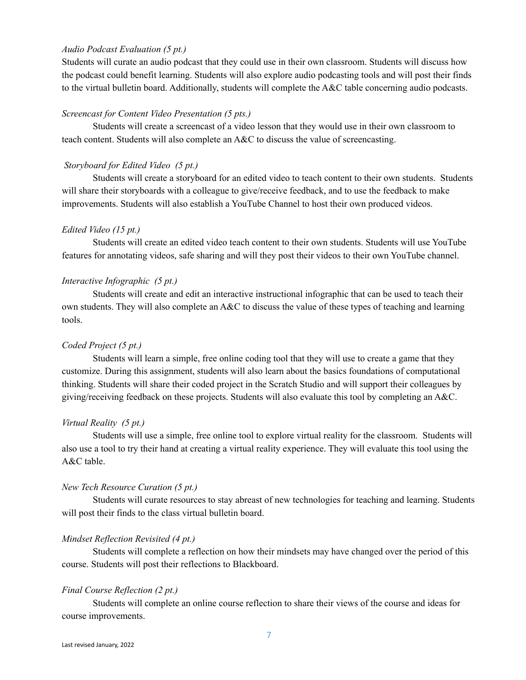#### *Audio Podcast Evaluation (5 pt.)*

Students will curate an audio podcast that they could use in their own classroom. Students will discuss how the podcast could benefit learning. Students will also explore audio podcasting tools and will post their finds to the virtual bulletin board. Additionally, students will complete the A&C table concerning audio podcasts.

#### *Screencast for Content Video Presentation (5 pts.)*

Students will create a screencast of a video lesson that they would use in their own classroom to teach content. Students will also complete an A&C to discuss the value of screencasting.

#### *Storyboard for Edited Video (5 pt.)*

Students will create a storyboard for an edited video to teach content to their own students. Students will share their storyboards with a colleague to give/receive feedback, and to use the feedback to make improvements. Students will also establish a YouTube Channel to host their own produced videos.

#### *Edited Video (15 pt.)*

Students will create an edited video teach content to their own students. Students will use YouTube features for annotating videos, safe sharing and will they post their videos to their own YouTube channel.

#### *Interactive Infographic (5 pt.)*

Students will create and edit an interactive instructional infographic that can be used to teach their own students. They will also complete an A&C to discuss the value of these types of teaching and learning tools.

#### *Coded Project (5 pt.)*

Students will learn a simple, free online coding tool that they will use to create a game that they customize. During this assignment, students will also learn about the basics foundations of computational thinking. Students will share their coded project in the Scratch Studio and will support their colleagues by giving/receiving feedback on these projects. Students will also evaluate this tool by completing an A&C.

#### *Virtual Reality (5 pt.)*

Students will use a simple, free online tool to explore virtual reality for the classroom. Students will also use a tool to try their hand at creating a virtual reality experience. They will evaluate this tool using the A&C table.

#### *New Tech Resource Curation (5 pt.)*

Students will curate resources to stay abreast of new technologies for teaching and learning. Students will post their finds to the class virtual bulletin board.

#### *Mindset Reflection Revisited (4 pt.)*

Students will complete a reflection on how their mindsets may have changed over the period of this course. Students will post their reflections to Blackboard.

#### *Final Course Reflection (2 pt.)*

Students will complete an online course reflection to share their views of the course and ideas for course improvements.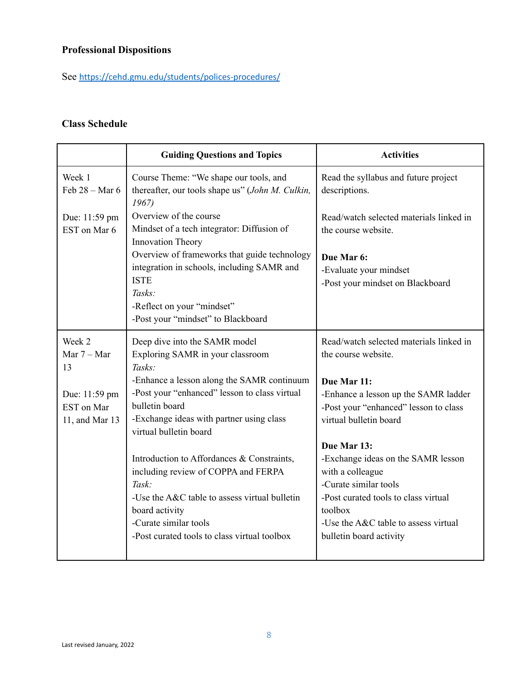## **Professional Dispositions**

See <https://cehd.gmu.edu/students/polices-procedures/>

## **Class Schedule**

|                                                      | <b>Guiding Questions and Topics</b>                                                                                                                                                                                                    | <b>Activities</b>                                                                                                                                                                                                    |
|------------------------------------------------------|----------------------------------------------------------------------------------------------------------------------------------------------------------------------------------------------------------------------------------------|----------------------------------------------------------------------------------------------------------------------------------------------------------------------------------------------------------------------|
| Week 1<br>Feb $28 - Mar$ 6                           | Course Theme: "We shape our tools, and<br>thereafter, our tools shape us" (John M. Culkin,<br>1967                                                                                                                                     | Read the syllabus and future project<br>descriptions.                                                                                                                                                                |
| Due: 11:59 pm<br>EST on Mar 6                        | Overview of the course<br>Mindset of a tech integrator: Diffusion of<br><b>Innovation Theory</b><br>Overview of frameworks that guide technology<br>integration in schools, including SAMR and<br><b>ISTE</b>                          | Read/watch selected materials linked in<br>the course website.<br>Due Mar 6:<br>-Evaluate your mindset<br>-Post your mindset on Blackboard                                                                           |
|                                                      | Tasks:<br>-Reflect on your "mindset"<br>-Post your "mindset" to Blackboard                                                                                                                                                             |                                                                                                                                                                                                                      |
| Week 2<br>Mar $7 -$ Mar<br>13                        | Deep dive into the SAMR model<br>Exploring SAMR in your classroom<br>Tasks:                                                                                                                                                            | Read/watch selected materials linked in<br>the course website.                                                                                                                                                       |
| Due: 11:59 pm<br><b>EST</b> on Mar<br>11, and Mar 13 | -Enhance a lesson along the SAMR continuum<br>-Post your "enhanced" lesson to class virtual<br>bulletin board<br>-Exchange ideas with partner using class<br>virtual bulletin board                                                    | Due Mar 11:<br>-Enhance a lesson up the SAMR ladder<br>-Post your "enhanced" lesson to class<br>virtual bulletin board                                                                                               |
|                                                      | Introduction to Affordances & Constraints,<br>including review of COPPA and FERPA<br>Task:<br>-Use the A&C table to assess virtual bulletin<br>board activity<br>-Curate similar tools<br>-Post curated tools to class virtual toolbox | Due Mar 13:<br>-Exchange ideas on the SAMR lesson<br>with a colleague<br>-Curate similar tools<br>-Post curated tools to class virtual<br>toolbox<br>-Use the A&C table to assess virtual<br>bulletin board activity |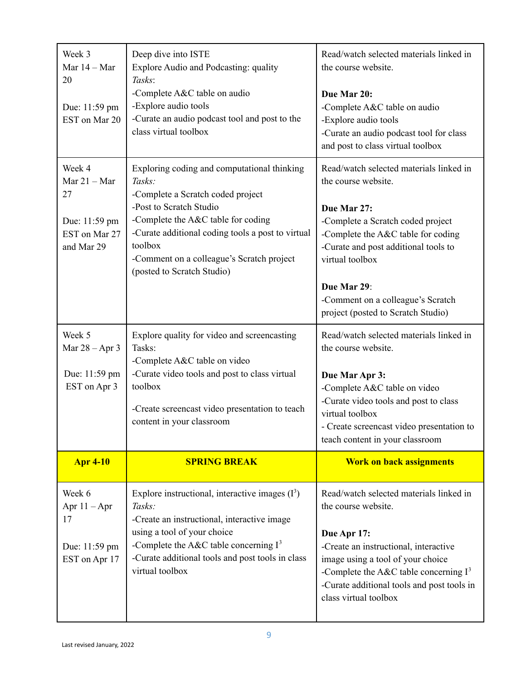| Week 3<br>Mar 14 - Mar<br>20<br>Due: 11:59 pm<br>EST on Mar 20                 | Deep dive into ISTE<br>Explore Audio and Podcasting: quality<br>Tasks:<br>-Complete A&C table on audio<br>-Explore audio tools<br>-Curate an audio podcast tool and post to the<br>class virtual toolbox                                                                                               | Read/watch selected materials linked in<br>the course website.<br>Due Mar 20:<br>-Complete A&C table on audio<br>-Explore audio tools<br>-Curate an audio podcast tool for class<br>and post to class virtual toolbox                                                                              |
|--------------------------------------------------------------------------------|--------------------------------------------------------------------------------------------------------------------------------------------------------------------------------------------------------------------------------------------------------------------------------------------------------|----------------------------------------------------------------------------------------------------------------------------------------------------------------------------------------------------------------------------------------------------------------------------------------------------|
| Week 4<br>Mar $21 -$ Mar<br>27<br>Due: 11:59 pm<br>EST on Mar 27<br>and Mar 29 | Exploring coding and computational thinking<br>Tasks:<br>-Complete a Scratch coded project<br>-Post to Scratch Studio<br>-Complete the A&C table for coding<br>-Curate additional coding tools a post to virtual<br>toolbox<br>-Comment on a colleague's Scratch project<br>(posted to Scratch Studio) | Read/watch selected materials linked in<br>the course website.<br>Due Mar 27:<br>-Complete a Scratch coded project<br>-Complete the A&C table for coding<br>-Curate and post additional tools to<br>virtual toolbox<br>Due Mar 29:<br>-Comment on a colleague's Scratch                            |
| Week 5<br>Mar $28 -$ Apr 3<br>Due: 11:59 pm<br>EST on Apr 3                    | Explore quality for video and screencasting<br>Tasks:<br>-Complete A&C table on video<br>-Curate video tools and post to class virtual<br>toolbox<br>-Create screencast video presentation to teach<br>content in your classroom                                                                       | project (posted to Scratch Studio)<br>Read/watch selected materials linked in<br>the course website.<br>Due Mar Apr 3:<br>-Complete A&C table on video<br>-Curate video tools and post to class<br>virtual toolbox<br>- Create screencast video presentation to<br>teach content in your classroom |
| <b>Apr 4-10</b>                                                                | <b>SPRING BREAK</b>                                                                                                                                                                                                                                                                                    | <b>Work on back assignments</b>                                                                                                                                                                                                                                                                    |
| Week 6<br>Apr $11 -$ Apr<br>17                                                 | Explore instructional, interactive images $(I^3)$<br>Tasks:<br>-Create an instructional, interactive image                                                                                                                                                                                             | Read/watch selected materials linked in<br>the course website.                                                                                                                                                                                                                                     |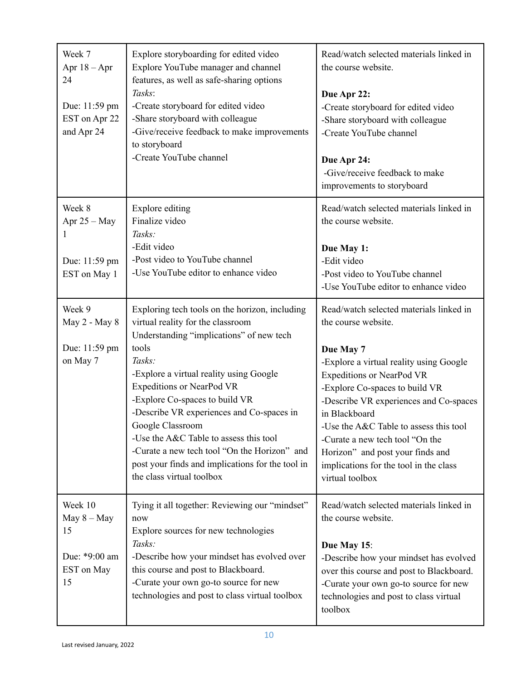| Week 7<br>Apr $18 -$ Apr<br>24<br>Due: 11:59 pm<br>EST on Apr 22<br>and Apr 24 | Explore storyboarding for edited video<br>Explore YouTube manager and channel<br>features, as well as safe-sharing options<br>Tasks:<br>-Create storyboard for edited video<br>-Share storyboard with colleague<br>-Give/receive feedback to make improvements<br>to storyboard<br>-Create YouTube channel                                                                                                                                                                                                      | Read/watch selected materials linked in<br>the course website.<br>Due Apr 22:<br>-Create storyboard for edited video<br>-Share storyboard with colleague<br>-Create YouTube channel<br>Due Apr 24:<br>-Give/receive feedback to make<br>improvements to storyboard                                                                                                                                                                    |
|--------------------------------------------------------------------------------|-----------------------------------------------------------------------------------------------------------------------------------------------------------------------------------------------------------------------------------------------------------------------------------------------------------------------------------------------------------------------------------------------------------------------------------------------------------------------------------------------------------------|---------------------------------------------------------------------------------------------------------------------------------------------------------------------------------------------------------------------------------------------------------------------------------------------------------------------------------------------------------------------------------------------------------------------------------------|
| Week 8<br>Apr $25 - May$<br>Due: 11:59 pm<br>EST on May 1                      | Explore editing<br>Finalize video<br>Tasks:<br>-Edit video<br>-Post video to YouTube channel<br>-Use YouTube editor to enhance video                                                                                                                                                                                                                                                                                                                                                                            | Read/watch selected materials linked in<br>the course website.<br>Due May 1:<br>-Edit video<br>-Post video to YouTube channel<br>-Use YouTube editor to enhance video                                                                                                                                                                                                                                                                 |
| Week 9<br>May 2 - May 8<br>Due: 11:59 pm<br>on May 7                           | Exploring tech tools on the horizon, including<br>virtual reality for the classroom<br>Understanding "implications" of new tech<br>tools<br>Tasks:<br>-Explore a virtual reality using Google<br><b>Expeditions or NearPod VR</b><br>-Explore Co-spaces to build VR<br>-Describe VR experiences and Co-spaces in<br>Google Classroom<br>-Use the A&C Table to assess this tool<br>-Curate a new tech tool "On the Horizon" and<br>post your finds and implications for the tool in<br>the class virtual toolbox | Read/watch selected materials linked in<br>the course website.<br>Due May 7<br>-Explore a virtual reality using Google<br><b>Expeditions or NearPod VR</b><br>-Explore Co-spaces to build VR<br>-Describe VR experiences and Co-spaces<br>in Blackboard<br>-Use the A&C Table to assess this tool<br>-Curate a new tech tool "On the<br>Horizon" and post your finds and<br>implications for the tool in the class<br>virtual toolbox |
| Week 10<br>May $8 -$ May<br>15<br>Due: *9:00 am<br>EST on May<br>15            | Tying it all together: Reviewing our "mindset"<br>now<br>Explore sources for new technologies<br>Tasks:<br>-Describe how your mindset has evolved over<br>this course and post to Blackboard.<br>-Curate your own go-to source for new<br>technologies and post to class virtual toolbox                                                                                                                                                                                                                        | Read/watch selected materials linked in<br>the course website.<br>Due May 15:<br>-Describe how your mindset has evolved<br>over this course and post to Blackboard.<br>-Curate your own go-to source for new<br>technologies and post to class virtual<br>toolbox                                                                                                                                                                     |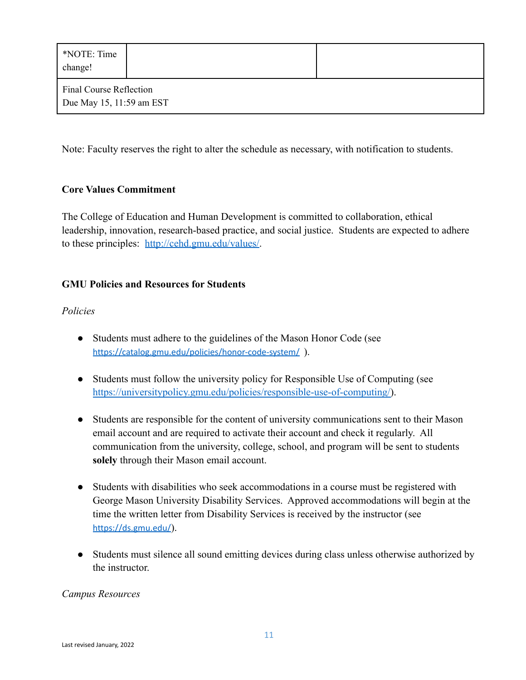| *NOTE: Time<br>change!                              |  |
|-----------------------------------------------------|--|
| Final Course Reflection<br>Due May 15, 11:59 am EST |  |

Note: Faculty reserves the right to alter the schedule as necessary, with notification to students.

## **Core Values Commitment**

The College of Education and Human Development is committed to collaboration, ethical leadership, innovation, research-based practice, and social justice. Students are expected to adhere to these principles: [http://cehd.gmu.edu/values/.](http://cehd.gmu.edu/values/)

## **GMU Policies and Resources for Students**

## *Policies*

- Students must adhere to the guidelines of the Mason Honor Code (see <https://catalog.gmu.edu/policies/honor-code-system/> ).
- Students must follow the university policy for Responsible Use of Computing (see <https://universitypolicy.gmu.edu/policies/responsible-use-of-computing/>).
- Students are responsible for the content of university communications sent to their Mason email account and are required to activate their account and check it regularly. All communication from the university, college, school, and program will be sent to students **solely** through their Mason email account.
- Students with disabilities who seek accommodations in a course must be registered with George Mason University Disability Services. Approved accommodations will begin at the time the written letter from Disability Services is received by the instructor (see <https://ds.gmu.edu/>).
- Students must silence all sound emitting devices during class unless otherwise authorized by the instructor.

## *Campus Resources*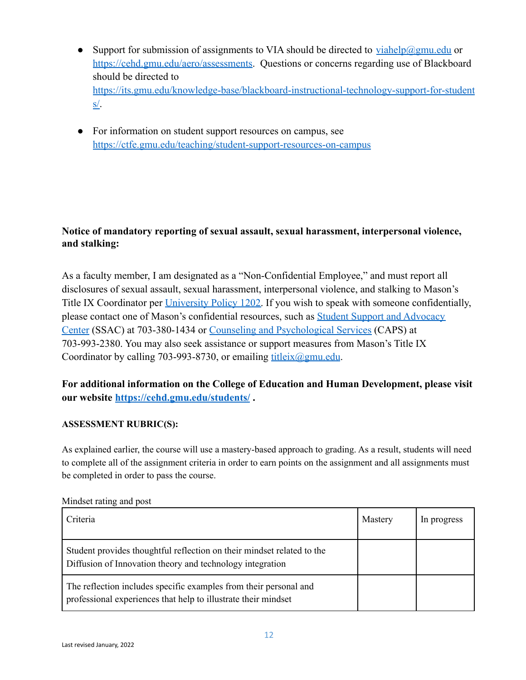- Support for submission of assignments to VIA should be directed to [viahelp@gmu.edu](mailto:viahelp@gmu.edu) or [https://cehd.gmu.edu/aero/assessments.](https://cehd.gmu.edu/aero/assessments) Questions or concerns regarding use of Blackboard should be directed to [https://its.gmu.edu/knowledge-base/blackboard-instructional-technology-support-for-student](https://its.gmu.edu/knowledge-base/blackboard-instructional-technology-support-for-students/) [s/](https://its.gmu.edu/knowledge-base/blackboard-instructional-technology-support-for-students/).
- For information on student support resources on campus, see <https://ctfe.gmu.edu/teaching/student-support-resources-on-campus>

## **Notice of mandatory reporting of sexual assault, sexual harassment, interpersonal violence, and stalking:**

As a faculty member, I am designated as a "Non-Confidential Employee," and must report all disclosures of sexual assault, sexual harassment, interpersonal violence, and stalking to Mason's Title IX Coordinator per [University Policy 1202.](https://universitypolicy.gmu.edu/policies/sexual-harassment-policy/) If you wish to speak with someone confidentially, please contact one of Mason's confidential resources, such as [Student Support and Advocacy](https://ssac.gmu.edu/) [Center](https://ssac.gmu.edu/) (SSAC) at 703-380-1434 or [Counseling and Psychological](https://caps.gmu.edu/) Services (CAPS) at 703-993-2380. You may also seek assistance or support measures from Mason's Title IX Coordinator by calling 703-993-8730, or emailing  $\frac{\text{title}}{(\text{logmu.edu})}$ .

**For additional information on the College of Education and Human Development, please visit our website <https://cehd.gmu.edu/students/> .**

## **ASSESSMENT RUBRIC(S):**

As explained earlier, the course will use a mastery-based approach to grading. As a result, students will need to complete all of the assignment criteria in order to earn points on the assignment and all assignments must be completed in order to pass the course.

# Criteria Mastery In progress Student provides thoughtful reflection on their mindset related to the Diffusion of Innovation theory and technology integration The reflection includes specific examples from their personal and professional experiences that help to illustrate their mindset

#### Mindset rating and post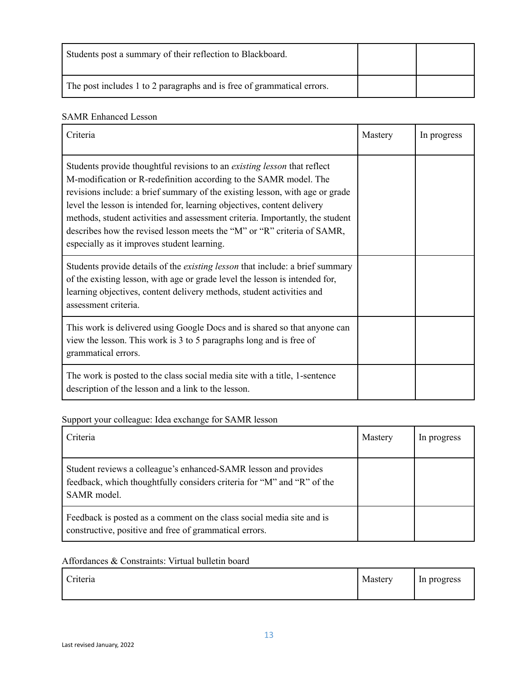| Students post a summary of their reflection to Blackboard.             |  |
|------------------------------------------------------------------------|--|
| The post includes 1 to 2 paragraphs and is free of grammatical errors. |  |

#### SAMR Enhanced Lesson

| Criteria                                                                                                                                                                                                                                                                                                                                                                                                                                                                                                            | Mastery | In progress |
|---------------------------------------------------------------------------------------------------------------------------------------------------------------------------------------------------------------------------------------------------------------------------------------------------------------------------------------------------------------------------------------------------------------------------------------------------------------------------------------------------------------------|---------|-------------|
| Students provide thoughtful revisions to an existing lesson that reflect<br>M-modification or R-redefinition according to the SAMR model. The<br>revisions include: a brief summary of the existing lesson, with age or grade<br>level the lesson is intended for, learning objectives, content delivery<br>methods, student activities and assessment criteria. Importantly, the student<br>describes how the revised lesson meets the "M" or "R" criteria of SAMR,<br>especially as it improves student learning. |         |             |
| Students provide details of the <i>existing lesson</i> that include: a brief summary<br>of the existing lesson, with age or grade level the lesson is intended for,<br>learning objectives, content delivery methods, student activities and<br>assessment criteria.                                                                                                                                                                                                                                                |         |             |
| This work is delivered using Google Docs and is shared so that anyone can<br>view the lesson. This work is 3 to 5 paragraphs long and is free of<br>grammatical errors.                                                                                                                                                                                                                                                                                                                                             |         |             |
| The work is posted to the class social media site with a title, 1-sentence<br>description of the lesson and a link to the lesson.                                                                                                                                                                                                                                                                                                                                                                                   |         |             |

## Support your colleague: Idea exchange for SAMR lesson

| Criteria                                                                                                                                                 | Mastery | In progress |
|----------------------------------------------------------------------------------------------------------------------------------------------------------|---------|-------------|
| Student reviews a colleague's enhanced-SAMR lesson and provides<br>feedback, which thoughtfully considers criteria for "M" and "R" of the<br>SAMR model. |         |             |
| Feedback is posted as a comment on the class social media site and is<br>constructive, positive and free of grammatical errors.                          |         |             |

## Affordances & Constraints: Virtual bulletin board

| Criteria | Mastery | In progress |
|----------|---------|-------------|
|          |         |             |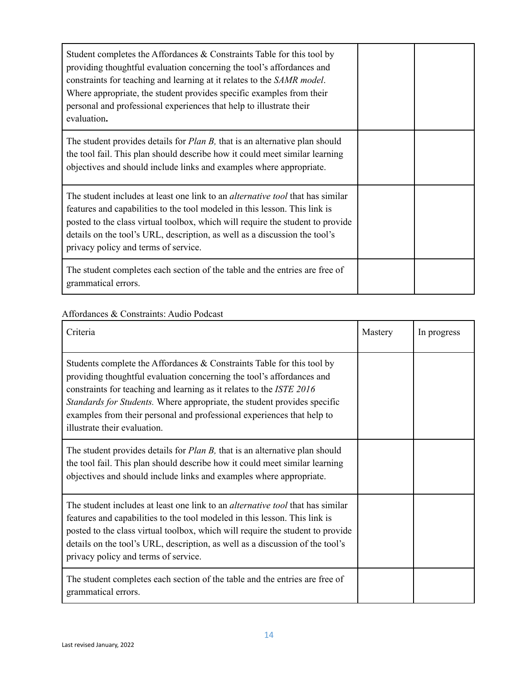| Student completes the Affordances $\&$ Constraints Table for this tool by<br>providing thoughtful evaluation concerning the tool's affordances and<br>constraints for teaching and learning at it relates to the SAMR model.<br>Where appropriate, the student provides specific examples from their<br>personal and professional experiences that help to illustrate their<br>evaluation. |  |
|--------------------------------------------------------------------------------------------------------------------------------------------------------------------------------------------------------------------------------------------------------------------------------------------------------------------------------------------------------------------------------------------|--|
| The student provides details for <i>Plan B</i> , that is an alternative plan should<br>the tool fail. This plan should describe how it could meet similar learning<br>objectives and should include links and examples where appropriate.                                                                                                                                                  |  |
| The student includes at least one link to an <i>alternative tool</i> that has similar<br>features and capabilities to the tool modeled in this lesson. This link is<br>posted to the class virtual toolbox, which will require the student to provide<br>details on the tool's URL, description, as well as a discussion the tool's<br>privacy policy and terms of service.                |  |
| The student completes each section of the table and the entries are free of<br>grammatical errors.                                                                                                                                                                                                                                                                                         |  |

## Affordances & Constraints: Audio Podcast

| Criteria                                                                                                                                                                                                                                                                                                                                                                                                         | Mastery | In progress |
|------------------------------------------------------------------------------------------------------------------------------------------------------------------------------------------------------------------------------------------------------------------------------------------------------------------------------------------------------------------------------------------------------------------|---------|-------------|
| Students complete the Affordances $\&$ Constraints Table for this tool by<br>providing thoughtful evaluation concerning the tool's affordances and<br>constraints for teaching and learning as it relates to the ISTE 2016<br>Standards for Students. Where appropriate, the student provides specific<br>examples from their personal and professional experiences that help to<br>illustrate their evaluation. |         |             |
| The student provides details for <i>Plan B</i> , that is an alternative plan should<br>the tool fail. This plan should describe how it could meet similar learning<br>objectives and should include links and examples where appropriate.                                                                                                                                                                        |         |             |
| The student includes at least one link to an <i>alternative tool</i> that has similar<br>features and capabilities to the tool modeled in this lesson. This link is<br>posted to the class virtual toolbox, which will require the student to provide<br>details on the tool's URL, description, as well as a discussion of the tool's<br>privacy policy and terms of service.                                   |         |             |
| The student completes each section of the table and the entries are free of<br>grammatical errors.                                                                                                                                                                                                                                                                                                               |         |             |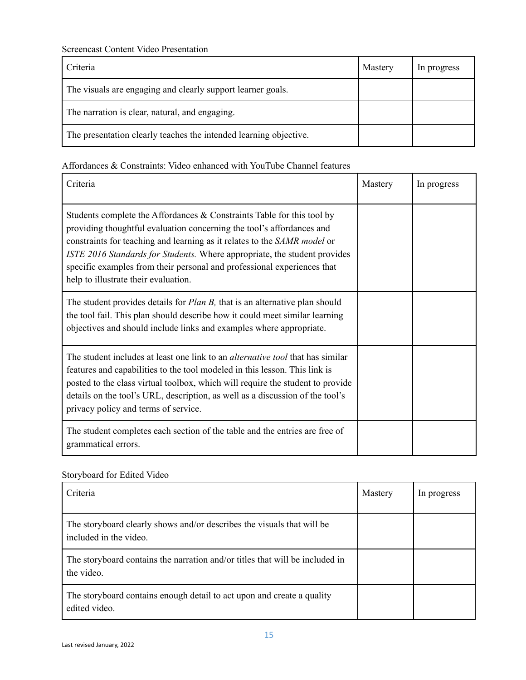## Screencast Content Video Presentation

| Criteria                                                          | Mastery | In progress |
|-------------------------------------------------------------------|---------|-------------|
| The visuals are engaging and clearly support learner goals.       |         |             |
| The narration is clear, natural, and engaging.                    |         |             |
| The presentation clearly teaches the intended learning objective. |         |             |

## Affordances & Constraints: Video enhanced with YouTube Channel features

| Criteria                                                                                                                                                                                                                                                                                                                                                                                                                       | Mastery | In progress |
|--------------------------------------------------------------------------------------------------------------------------------------------------------------------------------------------------------------------------------------------------------------------------------------------------------------------------------------------------------------------------------------------------------------------------------|---------|-------------|
| Students complete the Affordances $\&$ Constraints Table for this tool by<br>providing thoughtful evaluation concerning the tool's affordances and<br>constraints for teaching and learning as it relates to the SAMR model or<br>ISTE 2016 Standards for Students. Where appropriate, the student provides<br>specific examples from their personal and professional experiences that<br>help to illustrate their evaluation. |         |             |
| The student provides details for <i>Plan B</i> , that is an alternative plan should<br>the tool fail. This plan should describe how it could meet similar learning<br>objectives and should include links and examples where appropriate.                                                                                                                                                                                      |         |             |
| The student includes at least one link to an <i>alternative tool</i> that has similar<br>features and capabilities to the tool modeled in this lesson. This link is<br>posted to the class virtual toolbox, which will require the student to provide<br>details on the tool's URL, description, as well as a discussion of the tool's<br>privacy policy and terms of service.                                                 |         |             |
| The student completes each section of the table and the entries are free of<br>grammatical errors.                                                                                                                                                                                                                                                                                                                             |         |             |

## Storyboard for Edited Video

| Criteria                                                                                         | Mastery | In progress |
|--------------------------------------------------------------------------------------------------|---------|-------------|
| The storyboard clearly shows and/or describes the visuals that will be<br>included in the video. |         |             |
| The storyboard contains the narration and/or titles that will be included in<br>the video.       |         |             |
| The storyboard contains enough detail to act upon and create a quality<br>edited video.          |         |             |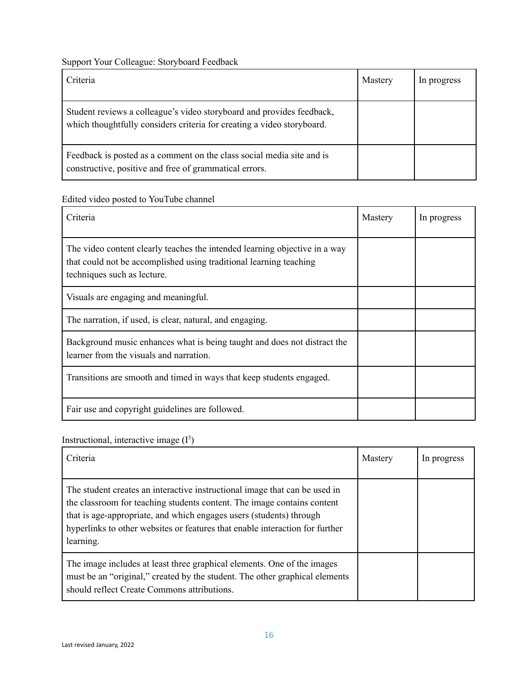Support Your Colleague: Storyboard Feedback

| Criteria                                                                                                                                        | Mastery | In progress |
|-------------------------------------------------------------------------------------------------------------------------------------------------|---------|-------------|
| Student reviews a colleague's video storyboard and provides feedback,<br>which thoughtfully considers criteria for creating a video storyboard. |         |             |
| Feedback is posted as a comment on the class social media site and is<br>constructive, positive and free of grammatical errors.                 |         |             |

Edited video posted to YouTube channel

| Criteria                                                                                                                                                                        | Mastery | In progress |
|---------------------------------------------------------------------------------------------------------------------------------------------------------------------------------|---------|-------------|
| The video content clearly teaches the intended learning objective in a way<br>that could not be accomplished using traditional learning teaching<br>techniques such as lecture. |         |             |
| Visuals are engaging and meaningful.                                                                                                                                            |         |             |
| The narration, if used, is clear, natural, and engaging.                                                                                                                        |         |             |
| Background music enhances what is being taught and does not distract the<br>learner from the visuals and narration.                                                             |         |             |
| Transitions are smooth and timed in ways that keep students engaged.                                                                                                            |         |             |
| Fair use and copyright guidelines are followed.                                                                                                                                 |         |             |

Instructional, interactive image  $(I^3)$ 

| Criteria                                                                                                                                                                                                                                                                                                                  | Mastery | In progress |
|---------------------------------------------------------------------------------------------------------------------------------------------------------------------------------------------------------------------------------------------------------------------------------------------------------------------------|---------|-------------|
| The student creates an interactive instructional image that can be used in<br>the classroom for teaching students content. The image contains content<br>that is age-appropriate, and which engages users (students) through<br>hyperlinks to other websites or features that enable interaction for further<br>learning. |         |             |
| The image includes at least three graphical elements. One of the images<br>must be an "original," created by the student. The other graphical elements<br>should reflect Create Commons attributions.                                                                                                                     |         |             |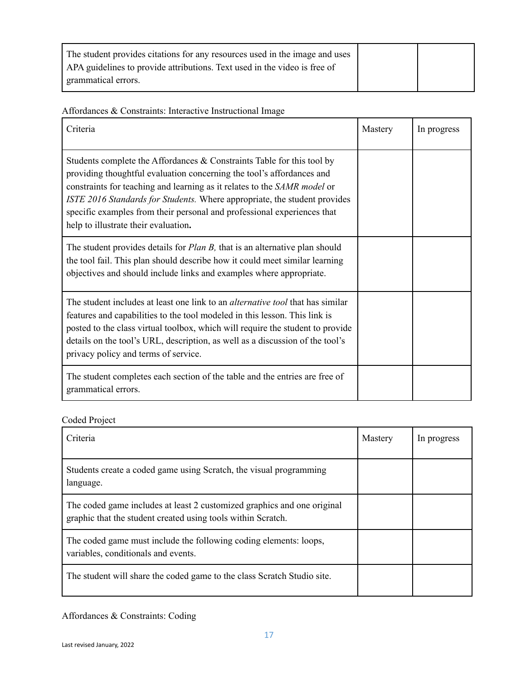| The student provides citations for any resources used in the image and uses |  |
|-----------------------------------------------------------------------------|--|
| APA guidelines to provide attributions. Text used in the video is free of   |  |
| grammatical errors.                                                         |  |

| Affordances & Constraints: Interactive Instructional Image |  |  |  |  |
|------------------------------------------------------------|--|--|--|--|
|------------------------------------------------------------|--|--|--|--|

| Criteria                                                                                                                                                                                                                                                                                                                                                                                                                       | Mastery | In progress |
|--------------------------------------------------------------------------------------------------------------------------------------------------------------------------------------------------------------------------------------------------------------------------------------------------------------------------------------------------------------------------------------------------------------------------------|---------|-------------|
| Students complete the Affordances $\&$ Constraints Table for this tool by<br>providing thoughtful evaluation concerning the tool's affordances and<br>constraints for teaching and learning as it relates to the SAMR model or<br>ISTE 2016 Standards for Students. Where appropriate, the student provides<br>specific examples from their personal and professional experiences that<br>help to illustrate their evaluation. |         |             |
| The student provides details for <i>Plan B</i> , that is an alternative plan should<br>the tool fail. This plan should describe how it could meet similar learning<br>objectives and should include links and examples where appropriate.                                                                                                                                                                                      |         |             |
| The student includes at least one link to an <i>alternative tool</i> that has similar<br>features and capabilities to the tool modeled in this lesson. This link is<br>posted to the class virtual toolbox, which will require the student to provide<br>details on the tool's URL, description, as well as a discussion of the tool's<br>privacy policy and terms of service.                                                 |         |             |
| The student completes each section of the table and the entries are free of<br>grammatical errors.                                                                                                                                                                                                                                                                                                                             |         |             |

Coded Project

| Criteria                                                                                                                                | Mastery | In progress |
|-----------------------------------------------------------------------------------------------------------------------------------------|---------|-------------|
| Students create a coded game using Scratch, the visual programming<br>language.                                                         |         |             |
| The coded game includes at least 2 customized graphics and one original<br>graphic that the student created using tools within Scratch. |         |             |
| The coded game must include the following coding elements: loops,<br>variables, conditionals and events.                                |         |             |
| The student will share the coded game to the class Scratch Studio site.                                                                 |         |             |

## Affordances & Constraints: Coding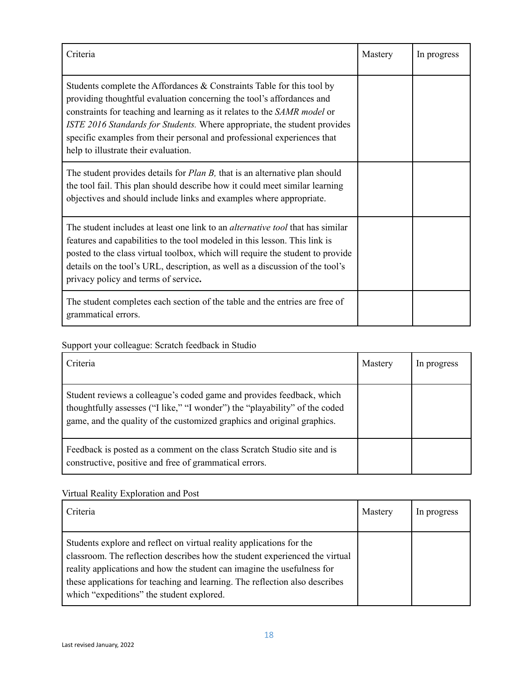| Criteria                                                                                                                                                                                                                                                                                                                                                                                                                       | Mastery | In progress |
|--------------------------------------------------------------------------------------------------------------------------------------------------------------------------------------------------------------------------------------------------------------------------------------------------------------------------------------------------------------------------------------------------------------------------------|---------|-------------|
| Students complete the Affordances $\&$ Constraints Table for this tool by<br>providing thoughtful evaluation concerning the tool's affordances and<br>constraints for teaching and learning as it relates to the SAMR model or<br>ISTE 2016 Standards for Students. Where appropriate, the student provides<br>specific examples from their personal and professional experiences that<br>help to illustrate their evaluation. |         |             |
| The student provides details for <i>Plan B</i> , that is an alternative plan should<br>the tool fail. This plan should describe how it could meet similar learning<br>objectives and should include links and examples where appropriate.                                                                                                                                                                                      |         |             |
| The student includes at least one link to an <i>alternative tool</i> that has similar<br>features and capabilities to the tool modeled in this lesson. This link is<br>posted to the class virtual toolbox, which will require the student to provide<br>details on the tool's URL, description, as well as a discussion of the tool's<br>privacy policy and terms of service.                                                 |         |             |
| The student completes each section of the table and the entries are free of<br>grammatical errors.                                                                                                                                                                                                                                                                                                                             |         |             |

## Support your colleague: Scratch feedback in Studio

| Criteria                                                                                                                                                                                                                        | Mastery | In progress |
|---------------------------------------------------------------------------------------------------------------------------------------------------------------------------------------------------------------------------------|---------|-------------|
| Student reviews a colleague's coded game and provides feedback, which<br>thoughtfully assesses ("I like," "I wonder") the "playability" of the coded<br>game, and the quality of the customized graphics and original graphics. |         |             |
| Feedback is posted as a comment on the class Scratch Studio site and is<br>constructive, positive and free of grammatical errors.                                                                                               |         |             |

## Virtual Reality Exploration and Post

| Criteria                                                                                                                                                                                                                                                                                                                                                   | Mastery | In progress |
|------------------------------------------------------------------------------------------------------------------------------------------------------------------------------------------------------------------------------------------------------------------------------------------------------------------------------------------------------------|---------|-------------|
| Students explore and reflect on virtual reality applications for the<br>classroom. The reflection describes how the student experienced the virtual<br>reality applications and how the student can imagine the usefulness for<br>these applications for teaching and learning. The reflection also describes<br>which "expeditions" the student explored. |         |             |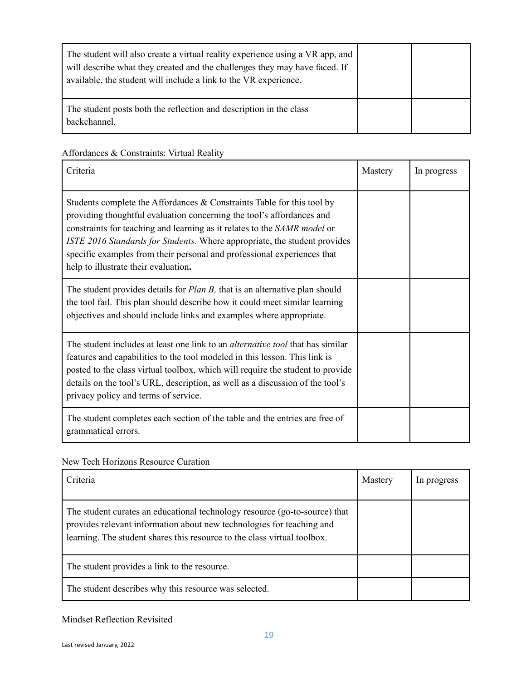| The student will also create a virtual reality experience using a VR app, and<br>will describe what they created and the challenges they may have faced. If<br>available, the student will include a link to the VR experience. |  |
|---------------------------------------------------------------------------------------------------------------------------------------------------------------------------------------------------------------------------------|--|
| The student posts both the reflection and description in the class<br>backchannel.                                                                                                                                              |  |

## Affordances & Constraints: Virtual Reality

| Criteria                                                                                                                                                                                                                                                                                                                                                                                                                       | Mastery | In progress |
|--------------------------------------------------------------------------------------------------------------------------------------------------------------------------------------------------------------------------------------------------------------------------------------------------------------------------------------------------------------------------------------------------------------------------------|---------|-------------|
| Students complete the Affordances $\&$ Constraints Table for this tool by<br>providing thoughtful evaluation concerning the tool's affordances and<br>constraints for teaching and learning as it relates to the SAMR model or<br>ISTE 2016 Standards for Students. Where appropriate, the student provides<br>specific examples from their personal and professional experiences that<br>help to illustrate their evaluation. |         |             |
| The student provides details for <i>Plan B</i> , that is an alternative plan should<br>the tool fail. This plan should describe how it could meet similar learning<br>objectives and should include links and examples where appropriate.                                                                                                                                                                                      |         |             |
| The student includes at least one link to an <i>alternative tool</i> that has similar<br>features and capabilities to the tool modeled in this lesson. This link is<br>posted to the class virtual toolbox, which will require the student to provide<br>details on the tool's URL, description, as well as a discussion of the tool's<br>privacy policy and terms of service.                                                 |         |             |
| The student completes each section of the table and the entries are free of<br>grammatical errors.                                                                                                                                                                                                                                                                                                                             |         |             |

## New Tech Horizons Resource Curation

| Criteria                                                                                                                                                                                                                        | Mastery | In progress |
|---------------------------------------------------------------------------------------------------------------------------------------------------------------------------------------------------------------------------------|---------|-------------|
| The student curates an educational technology resource (go-to-source) that<br>provides relevant information about new technologies for teaching and<br>learning. The student shares this resource to the class virtual toolbox. |         |             |
| The student provides a link to the resource.                                                                                                                                                                                    |         |             |
| The student describes why this resource was selected.                                                                                                                                                                           |         |             |

### Mindset Reflection Revisited